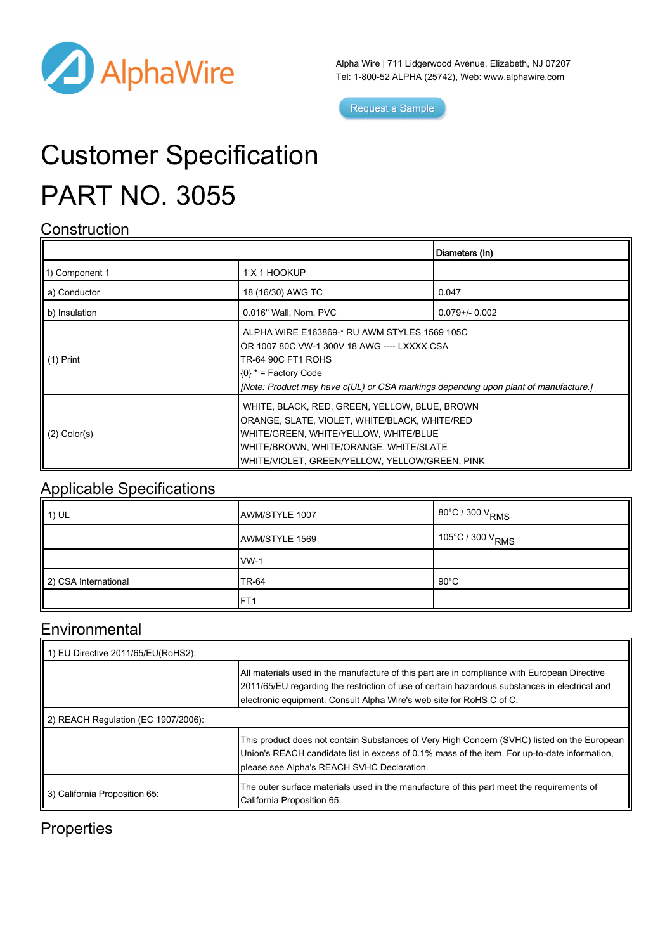

Alpha Wire | 711 Lidgerwood Avenue, Elizabeth, NJ 07207 Tel: 1-800-52 ALPHA (25742), Web: [www.alphawire.com](http://www.alphawire.com)

Request a Sample

# Customer Specification PART NO. 3055

#### **Construction**

|                   |                                                                                                                                                                                                                                           | Diameters (In)      |
|-------------------|-------------------------------------------------------------------------------------------------------------------------------------------------------------------------------------------------------------------------------------------|---------------------|
| 11) Component 1   | 1 X 1 HOOKUP                                                                                                                                                                                                                              |                     |
| a) Conductor      | 18 (16/30) AWG TC                                                                                                                                                                                                                         | 0.047               |
| b) Insulation     | 0.016" Wall, Nom. PVC                                                                                                                                                                                                                     | $0.079 + / - 0.002$ |
| II (1) Print      | ALPHA WIRE E163869-* RU AWM STYLES 1569 105C<br>OR 1007 80C VW-1 300V 18 AWG ---- LXXXX CSA<br><b>TR-64 90C FT1 ROHS</b><br>$(0)$ * = Factory Code<br>[Note: Product may have c(UL) or CSA markings depending upon plant of manufacture.] |                     |
| $(2)$ Color $(s)$ | WHITE, BLACK, RED, GREEN, YELLOW, BLUE, BROWN<br>ORANGE, SLATE, VIOLET, WHITE/BLACK, WHITE/RED<br>WHITE/GREEN, WHITE/YELLOW, WHITE/BLUE<br>WHITE/BROWN, WHITE/ORANGE, WHITE/SLATE<br>WHITE/VIOLET, GREEN/YELLOW, YELLOW/GREEN, PINK       |                     |

#### Applicable Specifications

| 1) UL                | AWM/STYLE 1007 | 1 80°C / 300 V <sub>RMS</sub>  |
|----------------------|----------------|--------------------------------|
|                      | AWM/STYLE 1569 | ∣ 105°C / 300 V <sub>RMS</sub> |
|                      | $vw-1$         |                                |
| 2) CSA International | <b>TR-64</b>   | $90^{\circ}$ C                 |
|                      | IFT1           |                                |

#### **Environmental**

| 1) EU Directive 2011/65/EU(RoHS2):  |                                                                                                                                                                                                                                                                       |  |
|-------------------------------------|-----------------------------------------------------------------------------------------------------------------------------------------------------------------------------------------------------------------------------------------------------------------------|--|
|                                     | All materials used in the manufacture of this part are in compliance with European Directive<br>2011/65/EU regarding the restriction of use of certain hazardous substances in electrical and<br>electronic equipment. Consult Alpha Wire's web site for RoHS C of C. |  |
| 2) REACH Regulation (EC 1907/2006): |                                                                                                                                                                                                                                                                       |  |
|                                     | This product does not contain Substances of Very High Concern (SVHC) listed on the European<br>Union's REACH candidate list in excess of 0.1% mass of the item. For up-to-date information,<br>please see Alpha's REACH SVHC Declaration.                             |  |
| 3) California Proposition 65:       | The outer surface materials used in the manufacture of this part meet the requirements of<br>California Proposition 65.                                                                                                                                               |  |

### **Properties**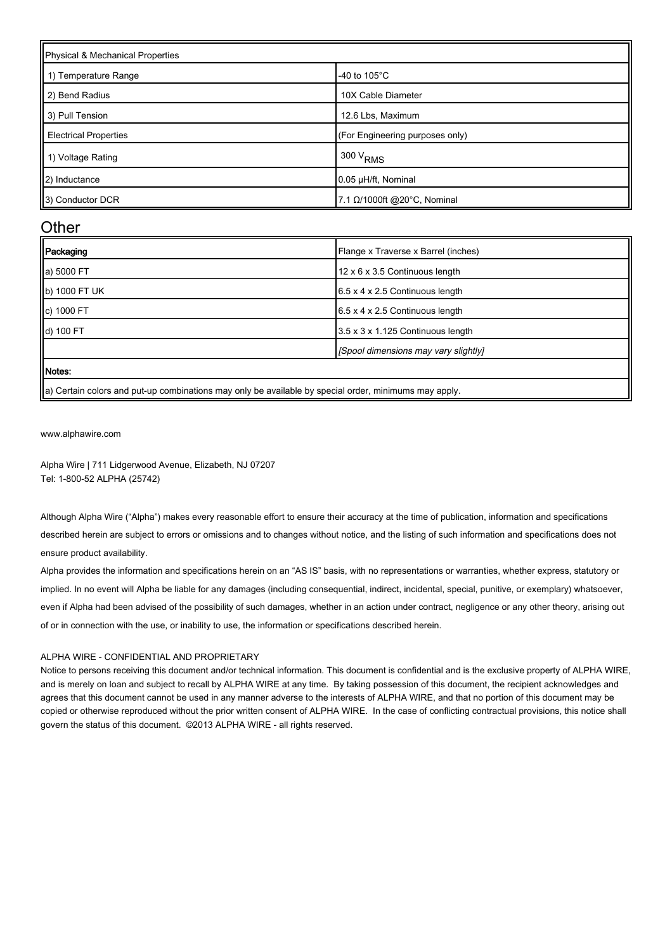| Physical & Mechanical Properties |                                 |  |
|----------------------------------|---------------------------------|--|
| 1) Temperature Range             | -40 to $105^{\circ}$ C          |  |
| 2) Bend Radius                   | 10X Cable Diameter              |  |
| 3) Pull Tension                  | 12.6 Lbs, Maximum               |  |
| <b>Electrical Properties</b>     | (For Engineering purposes only) |  |
| 1) Voltage Rating                | 300 V <sub>RMS</sub>            |  |
| 2) Inductance                    | 0.05 µH/ft, Nominal             |  |
| 3) Conductor DCR                 | 7.1 Ω/1000ft @20°C, Nominal     |  |

#### **Other**

| Packaging                                                                                                                                                                                 | Flange x Traverse x Barrel (inches)         |
|-------------------------------------------------------------------------------------------------------------------------------------------------------------------------------------------|---------------------------------------------|
| a) 5000 FT                                                                                                                                                                                | 12 x 6 x 3.5 Continuous length              |
| b) 1000 FT UK                                                                                                                                                                             | $6.5 \times 4 \times 2.5$ Continuous length |
| c) 1000 FT                                                                                                                                                                                | $6.5 \times 4 \times 2.5$ Continuous length |
| d) 100 FT                                                                                                                                                                                 | 3.5 x 3 x 1.125 Continuous length           |
|                                                                                                                                                                                           | [Spool dimensions may vary slightly]        |
| Notes:                                                                                                                                                                                    |                                             |
| $\mathbf{v} = \mathbf{v}$ , and $\mathbf{v} = \mathbf{v}$ , and $\mathbf{v} = \mathbf{v}$ , and $\mathbf{v} = \mathbf{v}$ , and $\mathbf{v} = \mathbf{v}$ , and $\mathbf{v} = \mathbf{v}$ |                                             |

a) Certain colors and put-up combinations may only be available by special order, minimums may apply.

[www.alphawire.com](http://www.alphawire.com)

Alpha Wire | 711 Lidgerwood Avenue, Elizabeth, NJ 07207 Tel: 1-800-52 ALPHA (25742)

Although Alpha Wire ("Alpha") makes every reasonable effort to ensure their accuracy at the time of publication, information and specifications described herein are subject to errors or omissions and to changes without notice, and the listing of such information and specifications does not ensure product availability.

Alpha provides the information and specifications herein on an "AS IS" basis, with no representations or warranties, whether express, statutory or implied. In no event will Alpha be liable for any damages (including consequential, indirect, incidental, special, punitive, or exemplary) whatsoever, even if Alpha had been advised of the possibility of such damages, whether in an action under contract, negligence or any other theory, arising out of or in connection with the use, or inability to use, the information or specifications described herein.

#### ALPHA WIRE - CONFIDENTIAL AND PROPRIETARY

Notice to persons receiving this document and/or technical information. This document is confidential and is the exclusive property of ALPHA WIRE, and is merely on loan and subject to recall by ALPHA WIRE at any time. By taking possession of this document, the recipient acknowledges and agrees that this document cannot be used in any manner adverse to the interests of ALPHA WIRE, and that no portion of this document may be copied or otherwise reproduced without the prior written consent of ALPHA WIRE. In the case of conflicting contractual provisions, this notice shall govern the status of this document. ©2013 ALPHA WIRE - all rights reserved.